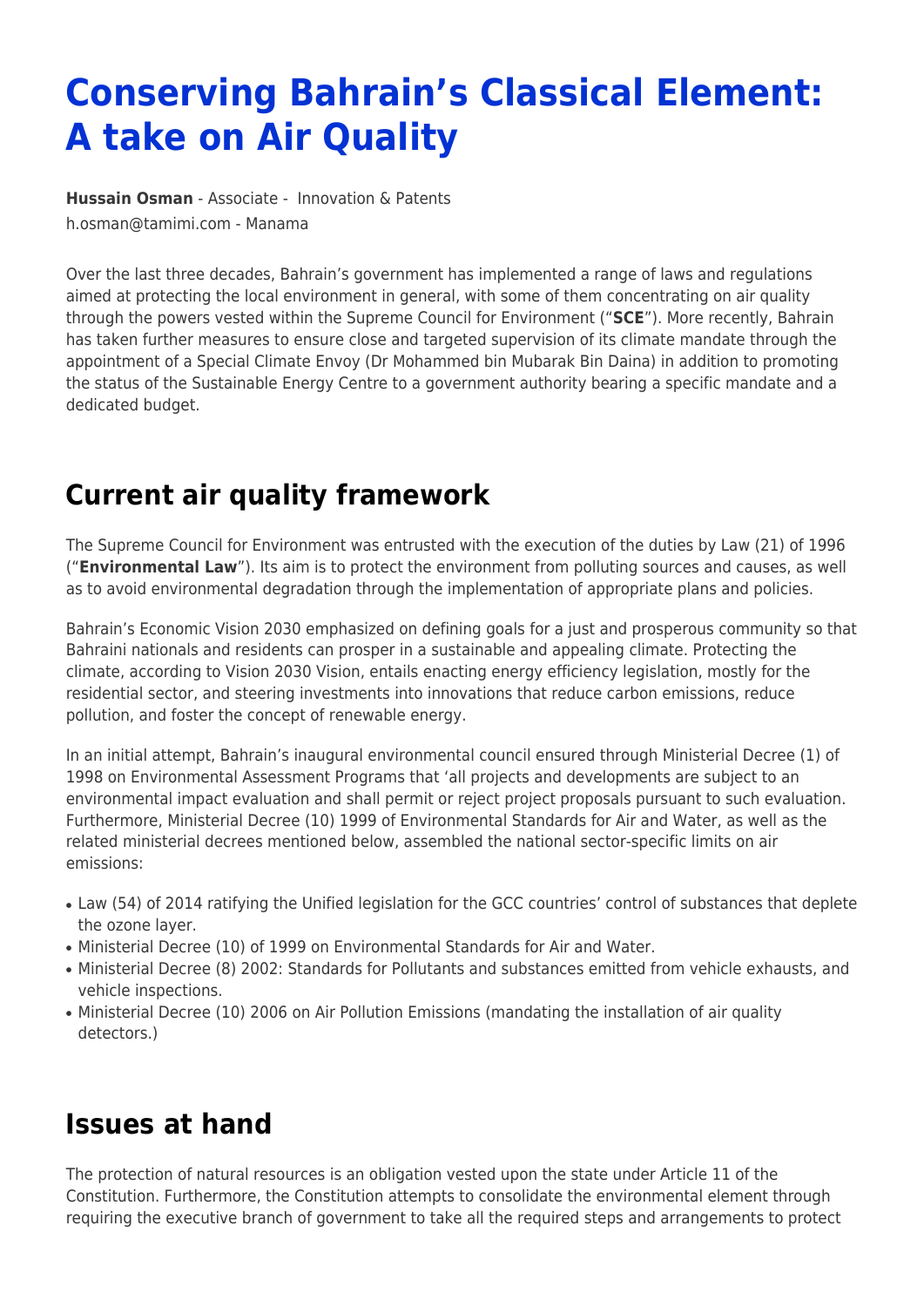# **Conserving Bahrain's Classical Element: A take on Air Quality**

**[Hussain Osman](https://www.tamimi.com/find-a-lawyer/hussain-osman/)** - Associate - [Innovation & Patents](https://www.tamimi.com/client-services/practices/innovation-patents/) [h.osman@tamimi.com](mailto:h.osman@tamimi.com) - [Manama](https://www.tamimi.com/locations/bahrain/)

Over the last three decades, Bahrain's government has implemented a range of laws and regulations aimed at protecting the local environment in general, with some of them concentrating on air quality through the powers vested within the Supreme Council for Environment ("**SCE**"). More recently, Bahrain has taken further measures to ensure close and targeted supervision of its climate mandate through the appointment of a Special Climate Envoy (Dr Mohammed bin Mubarak Bin Daina) in addition to promoting the status of the Sustainable Energy Centre to a government authority bearing a specific mandate and a dedicated budget.

# **Current air quality framework**

The Supreme Council for Environment was entrusted with the execution of the duties by Law (21) of 1996 ("**Environmental Law**"). Its aim is to protect the environment from polluting sources and causes, as well as to avoid environmental degradation through the implementation of appropriate plans and policies.

Bahrain's Economic Vision 2030 emphasized on defining goals for a just and prosperous community so that Bahraini nationals and residents can prosper in a sustainable and appealing climate. Protecting the climate, according to Vision 2030 Vision, entails enacting energy efficiency legislation, mostly for the residential sector, and steering investments into innovations that reduce carbon emissions, reduce pollution, and foster the concept of renewable energy.

In an initial attempt, Bahrain's inaugural environmental council ensured through Ministerial Decree (1) of 1998 on Environmental Assessment Programs that 'all projects and developments are subject to an environmental impact evaluation and shall permit or reject project proposals pursuant to such evaluation. Furthermore, Ministerial Decree (10) 1999 of Environmental Standards for Air and Water, as well as the related ministerial decrees mentioned below, assembled the national sector-specific limits on air emissions:

- Law (54) of 2014 ratifying the Unified legislation for the GCC countries' control of substances that deplete the ozone layer.
- Ministerial Decree (10) of 1999 on Environmental Standards for Air and Water.
- Ministerial Decree (8) 2002: Standards for Pollutants and substances emitted from vehicle exhausts, and vehicle inspections.
- Ministerial Decree (10) 2006 on Air Pollution Emissions (mandating the installation of air quality detectors.)

### **Issues at hand**

The protection of natural resources is an obligation vested upon the state under Article 11 of the Constitution. Furthermore, the Constitution attempts to consolidate the environmental element through requiring the executive branch of government to take all the required steps and arrangements to protect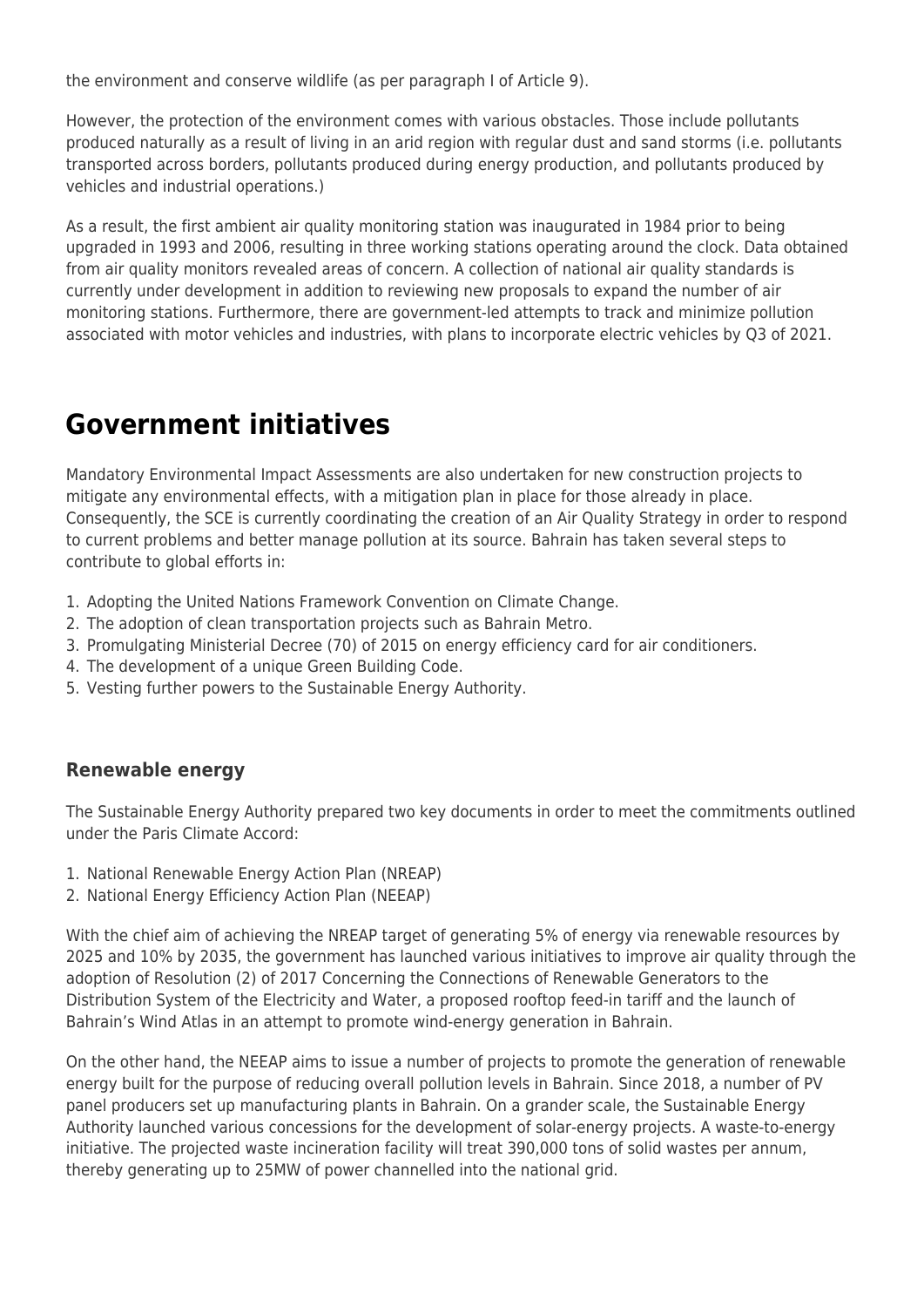the environment and conserve wildlife (as per paragraph I of Article 9).

However, the protection of the environment comes with various obstacles. Those include pollutants produced naturally as a result of living in an arid region with regular dust and sand storms (i.e. pollutants transported across borders, pollutants produced during energy production, and pollutants produced by vehicles and industrial operations.)

As a result, the first ambient air quality monitoring station was inaugurated in 1984 prior to being upgraded in 1993 and 2006, resulting in three working stations operating around the clock. Data obtained from air quality monitors revealed areas of concern. A collection of national air quality standards is currently under development in addition to reviewing new proposals to expand the number of air monitoring stations. Furthermore, there are government-led attempts to track and minimize pollution associated with motor vehicles and industries, with plans to incorporate electric vehicles by Q3 of 2021.

### **Government initiatives**

Mandatory Environmental Impact Assessments are also undertaken for new construction projects to mitigate any environmental effects, with a mitigation plan in place for those already in place. Consequently, the SCE is currently coordinating the creation of an Air Quality Strategy in order to respond to current problems and better manage pollution at its source. Bahrain has taken several steps to contribute to global efforts in:

- 1. Adopting the United Nations Framework Convention on Climate Change.
- 2. The adoption of clean transportation projects such as Bahrain Metro.
- 3. Promulgating Ministerial Decree (70) of 2015 on energy efficiency card for air conditioners.
- 4. The development of a unique Green Building Code.
- 5. Vesting further powers to the Sustainable Energy Authority.

#### **Renewable energy**

The Sustainable Energy Authority prepared two key documents in order to meet the commitments outlined under the Paris Climate Accord:

- 1. National Renewable Energy Action Plan (NREAP)
- 2. National Energy Efficiency Action Plan (NEEAP)

With the chief aim of achieving the NREAP target of generating 5% of energy via renewable resources by 2025 and 10% by 2035, the government has launched various initiatives to improve air quality through the adoption of Resolution (2) of 2017 Concerning the Connections of Renewable Generators to the Distribution System of the Electricity and Water, a proposed rooftop feed-in tariff and the launch of Bahrain's Wind Atlas in an attempt to promote wind-energy generation in Bahrain.

On the other hand, the NEEAP aims to issue a number of projects to promote the generation of renewable energy built for the purpose of reducing overall pollution levels in Bahrain. Since 2018, a number of PV panel producers set up manufacturing plants in Bahrain. On a grander scale, the Sustainable Energy Authority launched various concessions for the development of solar-energy projects. A waste-to-energy initiative. The projected waste incineration facility will treat 390,000 tons of solid wastes per annum, thereby generating up to 25MW of power channelled into the national grid.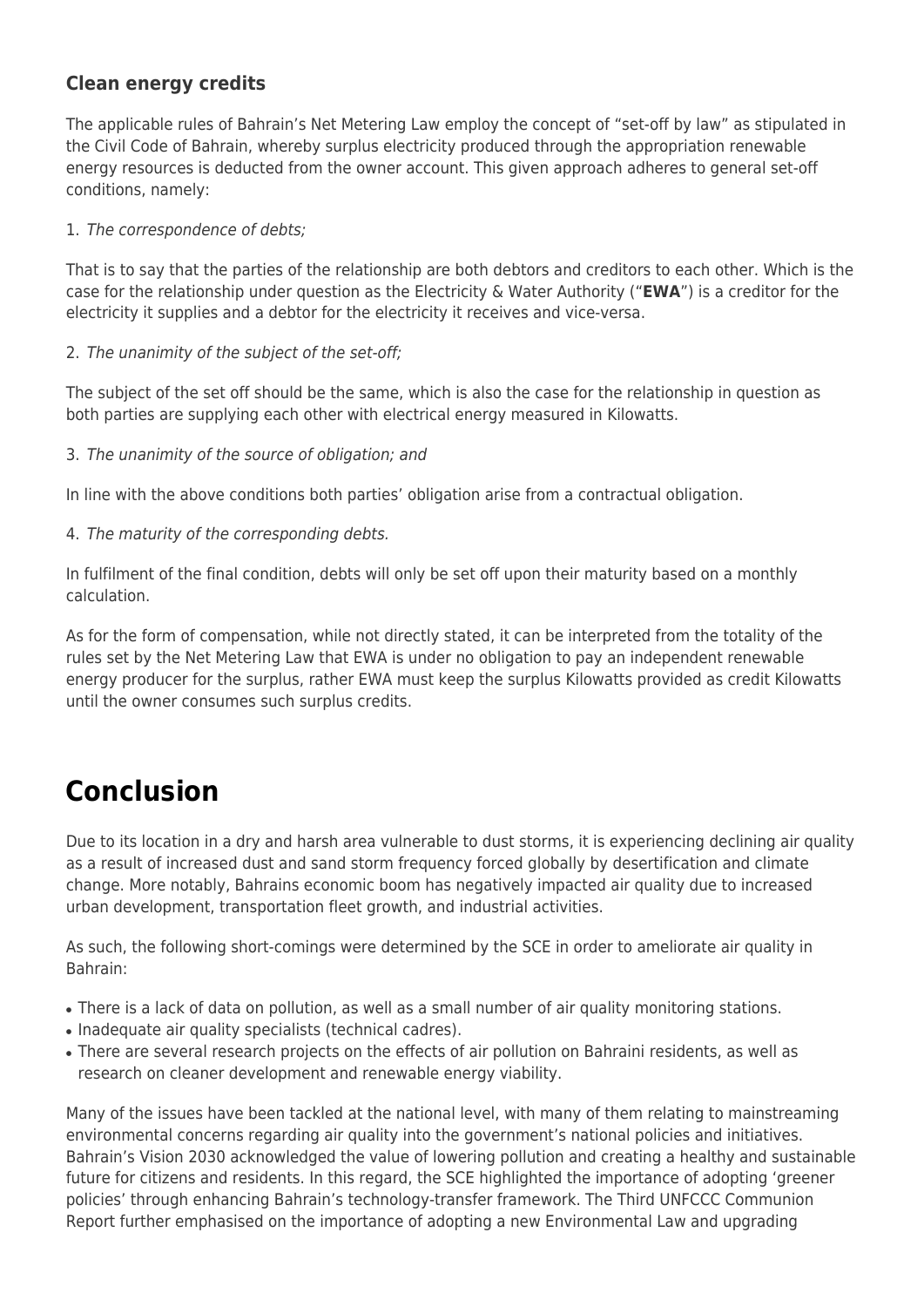#### **Clean energy credits**

The applicable rules of Bahrain's Net Metering Law employ the concept of "set-off by law" as stipulated in the Civil Code of Bahrain, whereby surplus electricity produced through the appropriation renewable energy resources is deducted from the owner account. This given approach adheres to general set-off conditions, namely:

1. The correspondence of debts;

That is to say that the parties of the relationship are both debtors and creditors to each other. Which is the case for the relationship under question as the Electricity & Water Authority ("**EWA**") is a creditor for the electricity it supplies and a debtor for the electricity it receives and vice-versa.

2. The unanimity of the subject of the set-off;

The subject of the set off should be the same, which is also the case for the relationship in question as both parties are supplying each other with electrical energy measured in Kilowatts.

3. The unanimity of the source of obligation; and

In line with the above conditions both parties' obligation arise from a contractual obligation.

4. The maturity of the corresponding debts.

In fulfilment of the final condition, debts will only be set off upon their maturity based on a monthly calculation.

As for the form of compensation, while not directly stated, it can be interpreted from the totality of the rules set by the Net Metering Law that EWA is under no obligation to pay an independent renewable energy producer for the surplus, rather EWA must keep the surplus Kilowatts provided as credit Kilowatts until the owner consumes such surplus credits.

## **Conclusion**

Due to its location in a dry and harsh area vulnerable to dust storms, it is experiencing declining air quality as a result of increased dust and sand storm frequency forced globally by desertification and climate change. More notably, Bahrains economic boom has negatively impacted air quality due to increased urban development, transportation fleet growth, and industrial activities.

As such, the following short-comings were determined by the SCE in order to ameliorate air quality in Bahrain:

- There is a lack of data on pollution, as well as a small number of air quality monitoring stations.
- Inadequate air quality specialists (technical cadres).
- There are several research projects on the effects of air pollution on Bahraini residents, as well as research on cleaner development and renewable energy viability.

Many of the issues have been tackled at the national level, with many of them relating to mainstreaming environmental concerns regarding air quality into the government's national policies and initiatives. Bahrain's Vision 2030 acknowledged the value of lowering pollution and creating a healthy and sustainable future for citizens and residents. In this regard, the SCE highlighted the importance of adopting 'greener policies' through enhancing Bahrain's technology-transfer framework. The Third UNFCCC Communion Report further emphasised on the importance of adopting a new Environmental Law and upgrading